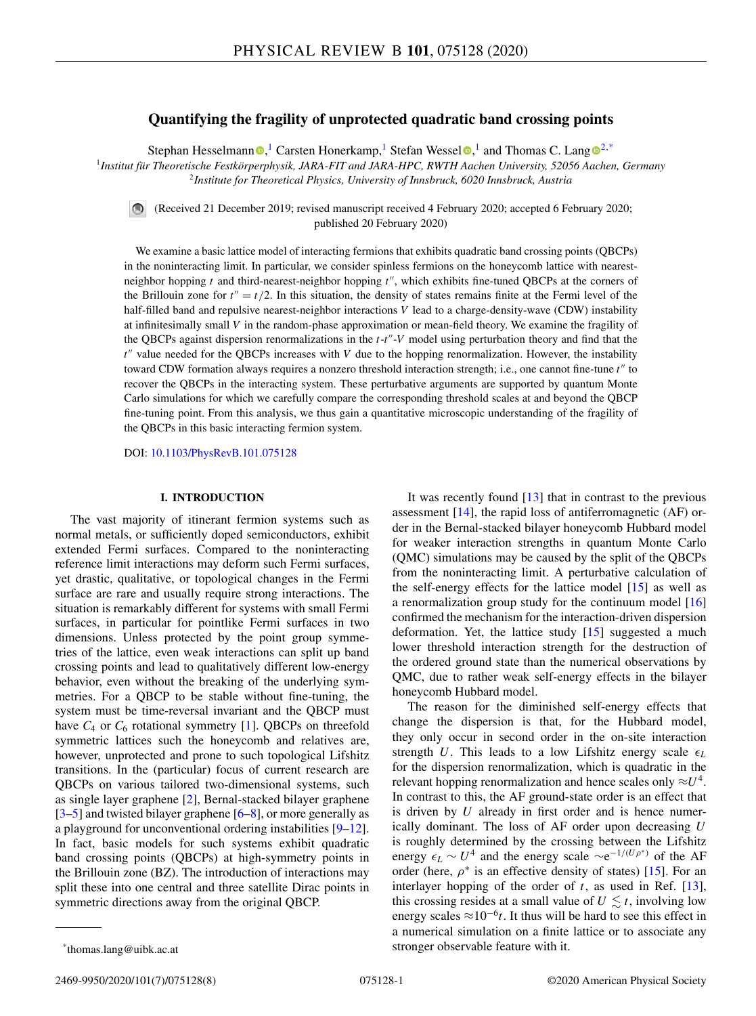# **Quantifying the fragility of unprotected quadratic band crossing points**

Stephan Hesse[l](https://orcid.org/0000-0002-6353-5083)mann  $\mathbf{Q},^1$  $\mathbf{Q},^1$  $\mathbf{Q},^1$  Carsten Honerkamp, <sup>1</sup> Stefan Wessel  $\mathbf{Q},^1$  and Thomas C. Lang  $\mathbf{Q}^{2,*}$  $\mathbf{Q}^{2,*}$  $\mathbf{Q}^{2,*}$ 

<sup>1</sup>*Institut für Theoretische Festkörperphysik, JARA-FIT and JARA-HPC, RWTH Aachen University, 52056 Aachen, Germany* <sup>2</sup>*Institute for Theoretical Physics, University of Innsbruck, 6020 Innsbruck, Austria*

(Received 21 December 2019; revised manuscript received 4 February 2020; accepted 6 February 2020; published 20 February 2020)

We examine a basic lattice model of interacting fermions that exhibits quadratic band crossing points (QBCPs) in the noninteracting limit. In particular, we consider spinless fermions on the honeycomb lattice with nearestneighbor hopping *t* and third-nearest-neighbor hopping *t*<sup>"</sup>, which exhibits fine-tuned QBCPs at the corners of the Brillouin zone for  $t'' = t/2$ . In this situation, the density of states remains finite at the Fermi level of the half-filled band and repulsive nearest-neighbor interactions *V* lead to a charge-density-wave (CDW) instability at infinitesimally small *V* in the random-phase approximation or mean-field theory. We examine the fragility of the QBCPs against dispersion renormalizations in the *t*-*t*---*V* model using perturbation theory and find that the  $t''$  value needed for the QBCPs increases with *V* due to the hopping renormalization. However, the instability toward CDW formation always requires a nonzero threshold interaction strength; i.e., one cannot fine-tune *t*<sup>+</sup> to recover the QBCPs in the interacting system. These perturbative arguments are supported by quantum Monte Carlo simulations for which we carefully compare the corresponding threshold scales at and beyond the QBCP fine-tuning point. From this analysis, we thus gain a quantitative microscopic understanding of the fragility of the QBCPs in this basic interacting fermion system.

DOI: [10.1103/PhysRevB.101.075128](https://doi.org/10.1103/PhysRevB.101.075128)

### **I. INTRODUCTION**

The vast majority of itinerant fermion systems such as normal metals, or sufficiently doped semiconductors, exhibit extended Fermi surfaces. Compared to the noninteracting reference limit interactions may deform such Fermi surfaces, yet drastic, qualitative, or topological changes in the Fermi surface are rare and usually require strong interactions. The situation is remarkably different for systems with small Fermi surfaces, in particular for pointlike Fermi surfaces in two dimensions. Unless protected by the point group symmetries of the lattice, even weak interactions can split up band crossing points and lead to qualitatively different low-energy behavior, even without the breaking of the underlying symmetries. For a QBCP to be stable without fine-tuning, the system must be time-reversal invariant and the QBCP must have  $C_4$  or  $C_6$  rotational symmetry [\[1\]](#page-7-0). QBCPs on threefold symmetric lattices such the honeycomb and relatives are, however, unprotected and prone to such topological Lifshitz transitions. In the (particular) focus of current research are QBCPs on various tailored two-dimensional systems, such as single layer graphene [\[2\]](#page-7-0), Bernal-stacked bilayer graphene  $[3-5]$  and twisted bilayer graphene  $[6-8]$ , or more generally as a playground for unconventional ordering instabilities [\[9–12\]](#page-7-0). In fact, basic models for such systems exhibit quadratic band crossing points (QBCPs) at high-symmetry points in the Brillouin zone (BZ). The introduction of interactions may split these into one central and three satellite Dirac points in symmetric directions away from the original QBCP.

The reason for the diminished self-energy effects that change the dispersion is that, for the Hubbard model, they only occur in second order in the on-site interaction strength  $U$ . This leads to a low Lifshitz energy scale  $\epsilon_L$ for the dispersion renormalization, which is quadratic in the relevant hopping renormalization and hence scales only  $\approx U^4$ . In contrast to this, the AF ground-state order is an effect that is driven by *U* already in first order and is hence numerically dominant. The loss of AF order upon decreasing *U* is roughly determined by the crossing between the Lifshitz energy  $\epsilon_L \sim U^4$  and the energy scale  $\sim e^{-1/(U \rho^*)}$  of the AF order (here,  $\rho^*$  is an effective density of states) [\[15\]](#page-7-0). For an interlayer hopping of the order of *t*, as used in Ref. [\[13\]](#page-7-0), this crossing resides at a small value of  $U \lesssim t$ , involving low energy scales  $\approx 10^{-6}t$ . It thus will be hard to see this effect in a numerical simulation on a finite lattice or to associate any stronger observable feature with it.

It was recently found [\[13\]](#page-7-0) that in contrast to the previous assessment  $[14]$ , the rapid loss of antiferromagnetic  $(AF)$  order in the Bernal-stacked bilayer honeycomb Hubbard model for weaker interaction strengths in quantum Monte Carlo (QMC) simulations may be caused by the split of the QBCPs from the noninteracting limit. A perturbative calculation of the self-energy effects for the lattice model  $[15]$  as well as a renormalization group study for the continuum model [\[16\]](#page-7-0) confirmed the mechanism for the interaction-driven dispersion deformation. Yet, the lattice study  $[15]$  suggested a much lower threshold interaction strength for the destruction of the ordered ground state than the numerical observations by QMC, due to rather weak self-energy effects in the bilayer honeycomb Hubbard model.

<sup>\*</sup>thomas.lang@uibk.ac.at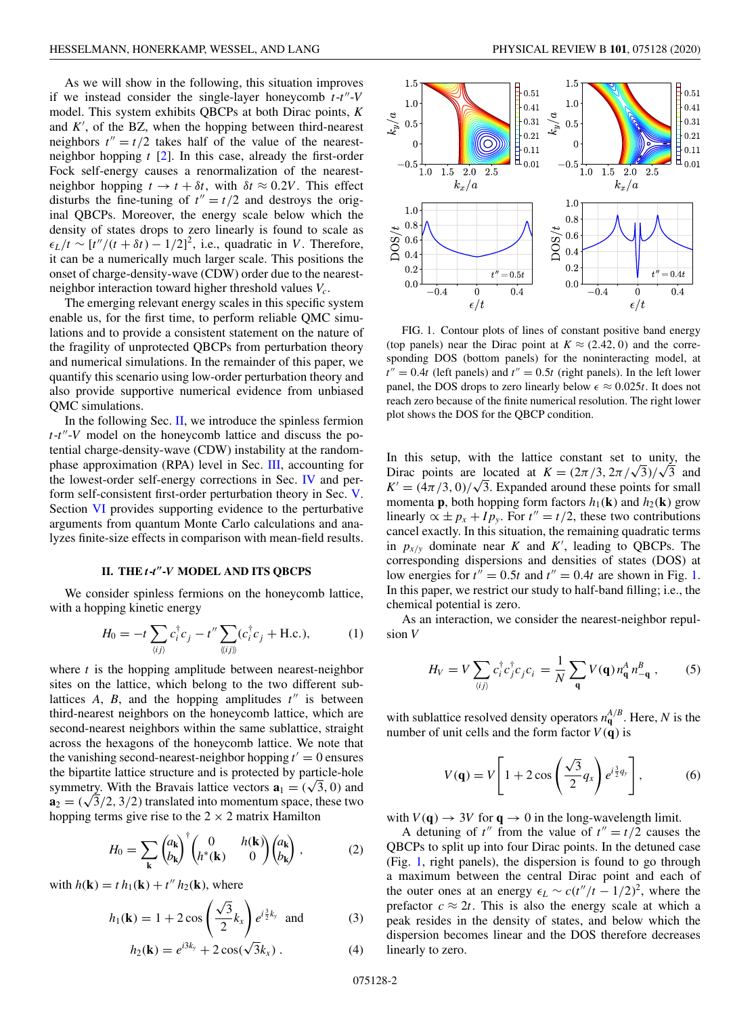<span id="page-1-0"></span>As we will show in the following, this situation improves if we instead consider the single-layer honeycomb  $t$ - $t$ "-V model. This system exhibits QBCPs at both Dirac points, *K* and  $K'$ , of the BZ, when the hopping between third-nearest neighbors  $t'' = t/2$  takes half of the value of the nearestneighbor hopping *t* [\[2\]](#page-7-0). In this case, already the first-order Fock self-energy causes a renormalization of the nearestneighbor hopping  $t \to t + \delta t$ , with  $\delta t \approx 0.2V$ . This effect disturbs the fine-tuning of  $t'' = t/2$  and destroys the original QBCPs. Moreover, the energy scale below which the density of states drops to zero linearly is found to scale as  $\epsilon_L/t \sim [t''/(t + \delta t) - 1/2]^2$ , i.e., quadratic in *V*. Therefore, it can be a numerically much larger scale. This positions the onset of charge-density-wave (CDW) order due to the nearestneighbor interaction toward higher threshold values *Vc*.

The emerging relevant energy scales in this specific system enable us, for the first time, to perform reliable QMC simulations and to provide a consistent statement on the nature of the fragility of unprotected QBCPs from perturbation theory and numerical simulations. In the remainder of this paper, we quantify this scenario using low-order perturbation theory and also provide supportive numerical evidence from unbiased QMC simulations.

In the following Sec. II, we introduce the spinless fermion *t*-*t*---*V* model on the honeycomb lattice and discuss the potential charge-density-wave (CDW) instability at the randomphase approximation (RPA) level in Sec. [III,](#page-2-0) accounting for the lowest-order self-energy corrections in Sec. [IV](#page-2-0) and perform self-consistent first-order perturbation theory in Sec. [V.](#page-3-0) Section [VI](#page-4-0) provides supporting evidence to the perturbative arguments from quantum Monte Carlo calculations and analyzes finite-size effects in comparison with mean-field results.

### **II. THE** *t***-***t* **---***V* **MODEL AND ITS QBCPS**

We consider spinless fermions on the honeycomb lattice, with a hopping kinetic energy

$$
H_0 = -t \sum_{\langle ij \rangle} c_i^{\dagger} c_j - t'' \sum_{\langle\langle ij \rangle\rangle} (c_i^{\dagger} c_j + \text{H.c.}), \tag{1}
$$

where *t* is the hopping amplitude between nearest-neighbor sites on the lattice, which belong to the two different sublattices  $A$ ,  $B$ , and the hopping amplitudes  $t''$  is between third-nearest neighbors on the honeycomb lattice, which are second-nearest neighbors within the same sublattice, straight across the hexagons of the honeycomb lattice. We note that the vanishing second-nearest-neighbor hopping  $t' = 0$  ensures the bipartite lattice structure and is protected by particle-hole the bipartite lattice structure and is protected by particle-hole<br>symmetry. With the Bravais lattice vectors  $\mathbf{a}_1 = (\sqrt{3}, 0)$  and symmetry. With the Bravais lattice vectors  $\mathbf{a}_1 = (\sqrt{3}, 0)$  and  $\mathbf{a}_2 = (\sqrt{3}/2, 3/2)$  translated into momentum space, these two hopping terms give rise to the  $2 \times 2$  matrix Hamilton

$$
H_0 = \sum_{\mathbf{k}} \begin{pmatrix} a_{\mathbf{k}} \\ b_{\mathbf{k}} \end{pmatrix}^{\dagger} \begin{pmatrix} 0 & h(\mathbf{k}) \\ h^*(\mathbf{k}) & 0 \end{pmatrix} \begin{pmatrix} a_{\mathbf{k}} \\ b_{\mathbf{k}} \end{pmatrix}, \tag{2}
$$

with  $h(\mathbf{k}) = t h_1(\mathbf{k}) + t'' h_2(\mathbf{k})$ , where

$$
h_1(\mathbf{k}) = 1 + 2\cos\left(\frac{\sqrt{3}}{2}k_x\right)e^{i\frac{3}{2}k_y}
$$
 and (3)

$$
h_2(\mathbf{k}) = e^{i3k_y} + 2\cos(\sqrt{3}k_x) \,. \tag{4}
$$



FIG. 1. Contour plots of lines of constant positive band energy (top panels) near the Dirac point at  $K \approx (2.42, 0)$  and the corresponding DOS (bottom panels) for the noninteracting model, at  $t'' = 0.4t$  (left panels) and  $t'' = 0.5t$  (right panels). In the left lower panel, the DOS drops to zero linearly below  $\epsilon \approx 0.025t$ . It does not reach zero because of the finite numerical resolution. The right lower plot shows the DOS for the QBCP condition.

In this setup, with the lattice constant set to unity, the In this setup, with the lattice constant set to unity, the Dirac points are located at  $K = (2\pi/3, 2\pi/\sqrt{3})/\sqrt{3}$  and Dirac points are located at  $K = (2\pi/3, 2\pi/\sqrt{3})/\sqrt{3}$  and  $K' = (4\pi/3, 0)/\sqrt{3}$ . Expanded around these points for small momenta **p**, both hopping form factors  $h_1(\mathbf{k})$  and  $h_2(\mathbf{k})$  grow linearly  $\alpha \pm p_x + Ip_y$ . For  $t'' = t/2$ , these two contributions cancel exactly. In this situation, the remaining quadratic terms in  $p_{x/y}$  dominate near *K* and *K'*, leading to QBCPs. The corresponding dispersions and densities of states (DOS) at low energies for  $t'' = 0.5t$  and  $t'' = 0.4t$  are shown in Fig. 1. In this paper, we restrict our study to half-band filling; i.e., the chemical potential is zero.

As an interaction, we consider the nearest-neighbor repulsion *V*

$$
H_V = V \sum_{\langle ij \rangle} c_i^{\dagger} c_j^{\dagger} c_j c_i = \frac{1}{N} \sum_{\mathbf{q}} V(\mathbf{q}) n_{\mathbf{q}}^A n_{-\mathbf{q}}^B , \qquad (5)
$$

with sublattice resolved density operators  $n_{\mathbf{q}}^{A/B}$ . Here, *N* is the number of unit cells and the form factor  $V(\mathbf{q})$  is

$$
V(\mathbf{q}) = V \left[ 1 + 2 \cos \left( \frac{\sqrt{3}}{2} q_x \right) e^{i \frac{3}{2} q_y} \right],\tag{6}
$$

with  $V(\mathbf{q}) \rightarrow 3V$  for  $\mathbf{q} \rightarrow 0$  in the long-wavelength limit.

A detuning of  $t''$  from the value of  $t'' = t/2$  causes the QBCPs to split up into four Dirac points. In the detuned case (Fig. 1, right panels), the dispersion is found to go through a maximum between the central Dirac point and each of the outer ones at an energy  $\epsilon_L \sim c(t''/t - 1/2)^2$ , where the prefactor  $c \approx 2t$ . This is also the energy scale at which a peak resides in the density of states, and below which the dispersion becomes linear and the DOS therefore decreases linearly to zero.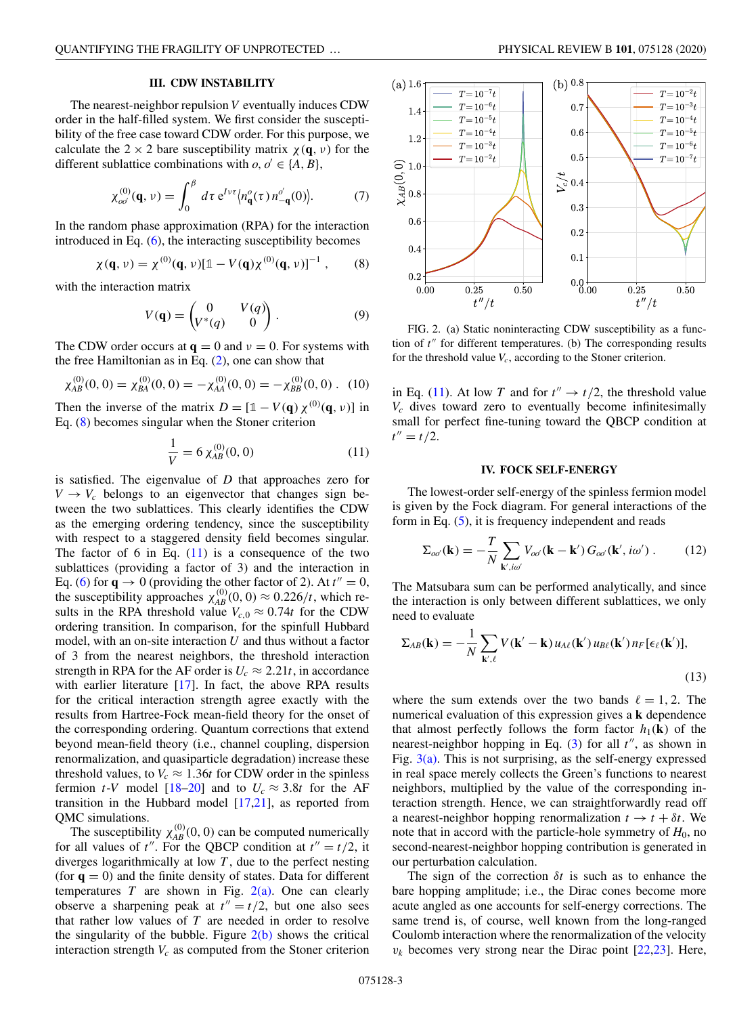### **III. CDW INSTABILITY**

<span id="page-2-0"></span>The nearest-neighbor repulsion*V* eventually induces CDW order in the half-filled system. We first consider the susceptibility of the free case toward CDW order. For this purpose, we calculate the  $2 \times 2$  bare susceptibility matrix  $\chi(\mathbf{q}, v)$  for the different sublattice combinations with  $o, o' \in \{A, B\}$ ,

$$
\chi_{oo'}^{(0)}(\mathbf{q}, \nu) = \int_0^\beta d\tau \, e^{I\nu\tau} \langle n_\mathbf{q}^o(\tau) \, n_{-\mathbf{q}}^o(0) \rangle. \tag{7}
$$

In the random phase approximation (RPA) for the interaction introduced in Eq.  $(6)$ , the interacting susceptibility becomes

$$
\chi(\mathbf{q}, \nu) = \chi^{(0)}(\mathbf{q}, \nu)[\mathbb{1} - V(\mathbf{q})\chi^{(0)}(\mathbf{q}, \nu)]^{-1}, \qquad (8)
$$

with the interaction matrix

$$
V(\mathbf{q}) = \begin{pmatrix} 0 & V(q) \\ V^*(q) & 0 \end{pmatrix} . \tag{9}
$$

The CDW order occurs at  $\mathbf{q} = 0$  and  $v = 0$ . For systems with the free Hamiltonian as in Eq. [\(2\)](#page-1-0), one can show that

$$
\chi_{AB}^{(0)}(0,0) = \chi_{BA}^{(0)}(0,0) = -\chi_{AA}^{(0)}(0,0) = -\chi_{BB}^{(0)}(0,0) . \tag{10}
$$

Then the inverse of the matrix  $D = [\mathbb{1} - V(q) \chi^{(0)}(q, \nu)]$  in Eq. (8) becomes singular when the Stoner criterion

$$
\frac{1}{V} = 6 \chi_{AB}^{(0)}(0,0) \tag{11}
$$

is satisfied. The eigenvalue of *D* that approaches zero for  $V \rightarrow V_c$  belongs to an eigenvector that changes sign between the two sublattices. This clearly identifies the CDW as the emerging ordering tendency, since the susceptibility with respect to a staggered density field becomes singular. The factor of 6 in Eq.  $(11)$  is a consequence of the two sublattices (providing a factor of 3) and the interaction in Eq. [\(6\)](#page-1-0) for  $\mathbf{q} \to 0$  (providing the other factor of 2). At  $t'' = 0$ , the susceptibility approaches  $\chi_{AB}^{(0)}(0,0) \approx 0.226/t$ , which results in the RPA threshold value  $V_{c,0} \approx 0.74t$  for the CDW ordering transition. In comparison, for the spinfull Hubbard model, with an on-site interaction *U* and thus without a factor of 3 from the nearest neighbors, the threshold interaction strength in RPA for the AF order is  $U_c \approx 2.21t$ , in accordance with earlier literature [\[17\]](#page-7-0). In fact, the above RPA results for the critical interaction strength agree exactly with the results from Hartree-Fock mean-field theory for the onset of the corresponding ordering. Quantum corrections that extend beyond mean-field theory (i.e., channel coupling, dispersion renormalization, and quasiparticle degradation) increase these threshold values, to  $V_c \approx 1.36t$  for CDW order in the spinless fermion *t*-*V* model [\[18–20\]](#page-7-0) and to  $U_c \approx 3.8t$  for the AF transition in the Hubbard model  $[17,21]$ , as reported from QMC simulations.

The susceptibility  $\chi_{AB}^{(0)}(0, 0)$  can be computed numerically for all values of  $t''$ . For the QBCP condition at  $t'' = t/2$ , it diverges logarithmically at low *T* , due to the perfect nesting (for  $\mathbf{q} = 0$ ) and the finite density of states. Data for different temperatures *T* are shown in Fig.  $2(a)$ . One can clearly observe a sharpening peak at  $t'' = t/2$ , but one also sees that rather low values of *T* are needed in order to resolve the singularity of the bubble. Figure  $2(b)$  shows the critical interaction strength  $V_c$  as computed from the Stoner criterion



FIG. 2. (a) Static noninteracting CDW susceptibility as a function of  $t''$  for different temperatures. (b) The corresponding results for the threshold value  $V_c$ , according to the Stoner criterion.

in Eq. (11). At low *T* and for  $t'' \rightarrow t/2$ , the threshold value  $V_c$  dives toward zero to eventually become infinitesimally small for perfect fine-tuning toward the QBCP condition at  $t'' = t/2.$ 

#### **IV. FOCK SELF-ENERGY**

The lowest-order self-energy of the spinless fermion model is given by the Fock diagram. For general interactions of the form in Eq.  $(5)$ , it is frequency independent and reads

$$
\Sigma_{oo'}(\mathbf{k}) = -\frac{T}{N} \sum_{\mathbf{k}',i\omega'} V_{oo'}(\mathbf{k} - \mathbf{k}') G_{oo'}(\mathbf{k}', i\omega') . \tag{12}
$$

The Matsubara sum can be performed analytically, and since the interaction is only between different sublattices, we only need to evaluate

$$
\Sigma_{AB}(\mathbf{k}) = -\frac{1}{N} \sum_{\mathbf{k}',\ell} V(\mathbf{k}' - \mathbf{k}) u_{A\ell}(\mathbf{k}') u_{B\ell}(\mathbf{k}') n_F[\epsilon_{\ell}(\mathbf{k}')] ,
$$
\n(13)

where the sum extends over the two bands  $\ell = 1, 2$ . The numerical evaluation of this expression gives a **k** dependence that almost perfectly follows the form factor  $h_1(\mathbf{k})$  of the nearest-neighbor hopping in Eq.  $(3)$  for all  $t''$ , as shown in Fig.  $3(a)$ . This is not surprising, as the self-energy expressed in real space merely collects the Green's functions to nearest neighbors, multiplied by the value of the corresponding interaction strength. Hence, we can straightforwardly read off a nearest-neighbor hopping renormalization  $t \to t + \delta t$ . We note that in accord with the particle-hole symmetry of  $H_0$ , no second-nearest-neighbor hopping contribution is generated in our perturbation calculation.

The sign of the correction δ*t* is such as to enhance the bare hopping amplitude; i.e., the Dirac cones become more acute angled as one accounts for self-energy corrections. The same trend is, of course, well known from the long-ranged Coulomb interaction where the renormalization of the velocity  $v_k$  becomes very strong near the Dirac point  $[22,23]$ . Here,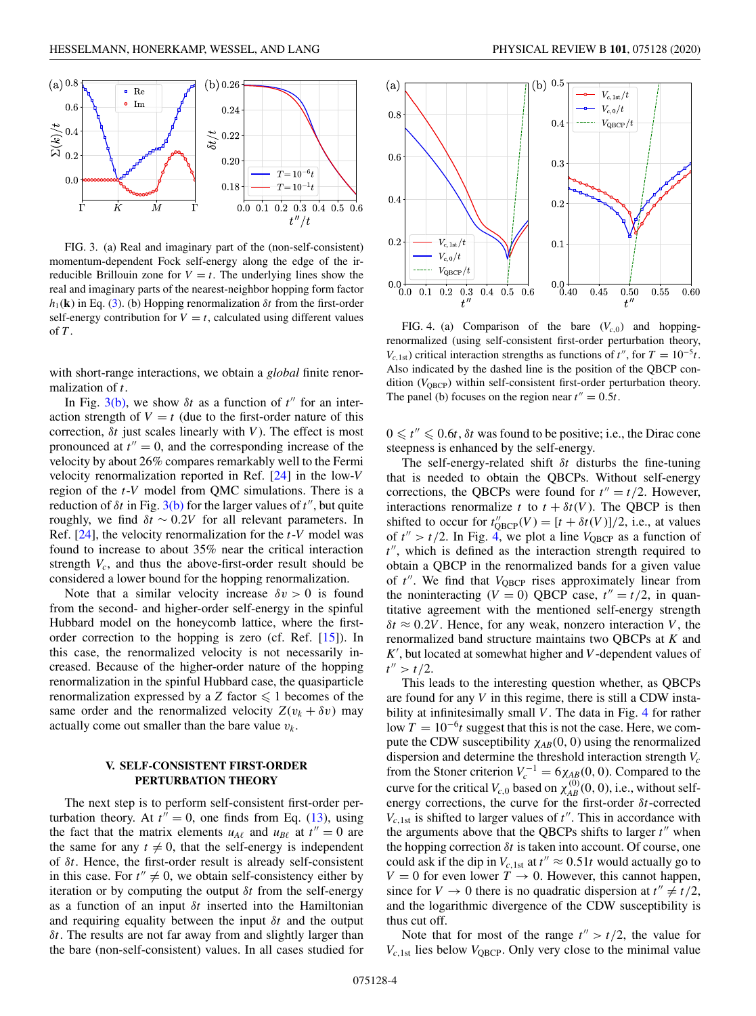<span id="page-3-0"></span>

FIG. 3. (a) Real and imaginary part of the (non-self-consistent) momentum-dependent Fock self-energy along the edge of the irreducible Brillouin zone for  $V = t$ . The underlying lines show the real and imaginary parts of the nearest-neighbor hopping form factor  $h_1(\mathbf{k})$  in Eq. [\(3\)](#page-1-0). (b) Hopping renormalization  $\delta t$  from the first-order self-energy contribution for  $V = t$ , calculated using different values of *T* .

with short-range interactions, we obtain a *global* finite renormalization of *t*.

In Fig.  $3(b)$ , we show  $\delta t$  as a function of  $t''$  for an interaction strength of  $V = t$  (due to the first-order nature of this correction, δ*t* just scales linearly with *V* ). The effect is most pronounced at  $t'' = 0$ , and the corresponding increase of the velocity by about 26% compares remarkably well to the Fermi velocity renormalization reported in Ref. [\[24\]](#page-7-0) in the low-*V* region of the *t*-*V* model from QMC simulations. There is a reduction of  $\delta t$  in Fig. 3(b) for the larger values of  $t''$ , but quite roughly, we find δ*t* ∼ 0.2*V* for all relevant parameters. In Ref. [\[24\]](#page-7-0), the velocity renormalization for the *t*-*V* model was found to increase to about 35% near the critical interaction strength  $V_c$ , and thus the above-first-order result should be considered a lower bound for the hopping renormalization.

Note that a similar velocity increase  $\delta v > 0$  is found from the second- and higher-order self-energy in the spinful Hubbard model on the honeycomb lattice, where the firstorder correction to the hopping is zero (cf. Ref. [\[15\]](#page-7-0)). In this case, the renormalized velocity is not necessarily increased. Because of the higher-order nature of the hopping renormalization in the spinful Hubbard case, the quasiparticle renormalization expressed by a  $Z$  factor  $\leq 1$  becomes of the same order and the renormalized velocity  $Z(v_k + \delta v)$  may actually come out smaller than the bare value  $v_k$ .

### **V. SELF-CONSISTENT FIRST-ORDER PERTURBATION THEORY**

The next step is to perform self-consistent first-order perturbation theory. At  $t'' = 0$ , one finds from Eq. [\(13\)](#page-2-0), using the fact that the matrix elements  $u_{A\ell}$  and  $u_{B\ell}$  at  $t'' = 0$  are the same for any  $t \neq 0$ , that the self-energy is independent of δ*t*. Hence, the first-order result is already self-consistent in this case. For  $t'' \neq 0$ , we obtain self-consistency either by iteration or by computing the output δ*t* from the self-energy as a function of an input δ*t* inserted into the Hamiltonian and requiring equality between the input δ*t* and the output δ*t*. The results are not far away from and slightly larger than the bare (non-self-consistent) values. In all cases studied for



FIG. 4. (a) Comparison of the bare  $(V_{c,0})$  and hoppingrenormalized (using self-consistent first-order perturbation theory,  $V_{c,1st}$ ) critical interaction strengths as functions of  $t''$ , for  $T = 10^{-5}t$ . Also indicated by the dashed line is the position of the QBCP condition (*V*<sub>OBCP</sub>) within self-consistent first-order perturbation theory. The panel (b) focuses on the region near  $t'' = 0.5t$ .

 $0 \le t'' \le 0.6t$ ,  $\delta t$  was found to be positive; i.e., the Dirac cone steepness is enhanced by the self-energy.

The self-energy-related shift δ*t* disturbs the fine-tuning that is needed to obtain the QBCPs. Without self-energy corrections, the QBCPs were found for  $t'' = t/2$ . However, interactions renormalize *t* to  $t + \delta t(V)$ . The QBCP is then shifted to occur for  $t''_{QBCP}(V) = [t + \delta t(V)]/2$ , i.e., at values of  $t'' > t/2$ . In Fig. 4, we plot a line  $V_{\text{QBCP}}$  as a function of  $t''$ , which is defined as the interaction strength required to obtain a QBCP in the renormalized bands for a given value of *t*". We find that *V*<sub>QBCP</sub> rises approximately linear from the noninteracting  $(V = 0)$  QBCP case,  $t'' = t/2$ , in quantitative agreement with the mentioned self-energy strength  $\delta t \approx 0.2V$ . Hence, for any weak, nonzero interaction *V*, the renormalized band structure maintains two QBCPs at *K* and *K*- , but located at somewhat higher and *V* -dependent values of  $t'' > t/2.$ 

This leads to the interesting question whether, as QBCPs are found for any *V* in this regime, there is still a CDW instability at infinitesimally small *V*. The data in Fig. 4 for rather low  $T = 10^{-6}t$  suggest that this is not the case. Here, we compute the CDW susceptibility  $\chi_{AB}(0, 0)$  using the renormalized dispersion and determine the threshold interaction strength  $V_c$ from the Stoner criterion  $V_c^{-1} = 6 \chi_{AB}(0, 0)$ . Compared to the curve for the critical  $V_{c,0}$  based on  $\chi_{AB}^{(0)}(0, 0)$ , i.e., without selfenergy corrections, the curve for the first-order δ*t*-corrected  $V_{c,1st}$  is shifted to larger values of  $t''$ . This in accordance with the arguments above that the QBCPs shifts to larger  $t''$  when the hopping correction δ*t* is taken into account. Of course, one could ask if the dip in  $V_{c,1st}$  at  $t'' \approx 0.51t$  would actually go to  $V = 0$  for even lower  $T \rightarrow 0$ . However, this cannot happen, since for  $V \to 0$  there is no quadratic dispersion at  $t'' \neq t/2$ , and the logarithmic divergence of the CDW susceptibility is thus cut off.

Note that for most of the range  $t'' > t/2$ , the value for  $V_{c,1st}$  lies below  $V_{QBCP}$ . Only very close to the minimal value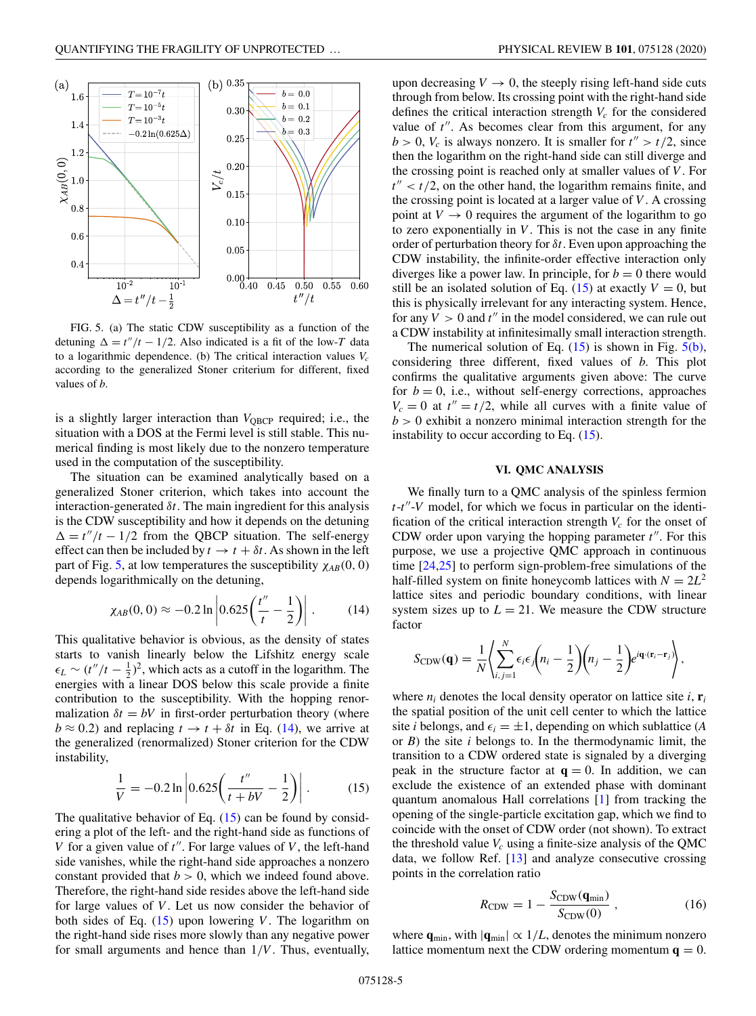<span id="page-4-0"></span>

FIG. 5. (a) The static CDW susceptibility as a function of the detuning  $\Delta = t''/t - 1/2$ . Also indicated is a fit of the low-T data to a logarithmic dependence. (b) The critical interaction values  $V_c$ according to the generalized Stoner criterium for different, fixed values of *b*.

is a slightly larger interaction than  $V_{\text{OBCP}}$  required; i.e., the situation with a DOS at the Fermi level is still stable. This numerical finding is most likely due to the nonzero temperature used in the computation of the susceptibility.

The situation can be examined analytically based on a generalized Stoner criterion, which takes into account the interaction-generated δ*t*. The main ingredient for this analysis is the CDW susceptibility and how it depends on the detuning  $\Delta = t''/t - 1/2$  from the QBCP situation. The self-energy effect can then be included by  $t \to t + \delta t$ . As shown in the left part of Fig. 5, at low temperatures the susceptibility  $\chi_{AB}(0, 0)$ depends logarithmically on the detuning,

$$
\chi_{AB}(0,0) \approx -0.2 \ln \left| 0.625 \left( \frac{t''}{t} - \frac{1}{2} \right) \right|.
$$
 (14)

This qualitative behavior is obvious, as the density of states starts to vanish linearly below the Lifshitz energy scale  $\epsilon_L \sim (t''/t - \frac{1}{2})^2$ , which acts as a cutoff in the logarithm. The energies with a linear DOS below this scale provide a finite contribution to the susceptibility. With the hopping renormalization  $\delta t = bV$  in first-order perturbation theory (where  $b \approx 0.2$ ) and replacing  $t \to t + \delta t$  in Eq. (14), we arrive at the generalized (renormalized) Stoner criterion for the CDW instability,

$$
\frac{1}{V} = -0.2 \ln \left| 0.625 \left( \frac{t''}{t + bV} - \frac{1}{2} \right) \right|.
$$
 (15)

The qualitative behavior of Eq.  $(15)$  can be found by considering a plot of the left- and the right-hand side as functions of *V* for a given value of  $t''$ . For large values of *V*, the left-hand side vanishes, while the right-hand side approaches a nonzero constant provided that  $b > 0$ , which we indeed found above. Therefore, the right-hand side resides above the left-hand side for large values of *V*. Let us now consider the behavior of both sides of Eq.  $(15)$  upon lowering *V*. The logarithm on the right-hand side rises more slowly than any negative power for small arguments and hence than  $1/V$ . Thus, eventually, upon decreasing  $V \rightarrow 0$ , the steeply rising left-hand side cuts through from below. Its crossing point with the right-hand side defines the critical interaction strength  $V_c$  for the considered value of  $t''$ . As becomes clear from this argument, for any  $b > 0$ ,  $V_c$  is always nonzero. It is smaller for  $t'' > t/2$ , since then the logarithm on the right-hand side can still diverge and the crossing point is reached only at smaller values of *V* . For  $t'' < t/2$ , on the other hand, the logarithm remains finite, and the crossing point is located at a larger value of *V* . A crossing point at  $V \rightarrow 0$  requires the argument of the logarithm to go to zero exponentially in *V* . This is not the case in any finite order of perturbation theory for δ*t*. Even upon approaching the CDW instability, the infinite-order effective interaction only diverges like a power law. In principle, for  $b = 0$  there would still be an isolated solution of Eq.  $(15)$  at exactly  $V = 0$ , but this is physically irrelevant for any interacting system. Hence, for any  $V > 0$  and  $t''$  in the model considered, we can rule out a CDW instability at infinitesimally small interaction strength.

The numerical solution of Eq.  $(15)$  is shown in Fig.  $5(b)$ , considering three different, fixed values of *b*. This plot confirms the qualitative arguments given above: The curve for  $b = 0$ , i.e., without self-energy corrections, approaches  $V_c = 0$  at  $t'' = t/2$ , while all curves with a finite value of  $b > 0$  exhibit a nonzero minimal interaction strength for the instability to occur according to Eq. (15).

### **VI. QMC ANALYSIS**

We finally turn to a QMC analysis of the spinless fermion *t*-*t*"-*V* model, for which we focus in particular on the identification of the critical interaction strength  $V_c$  for the onset of CDW order upon varying the hopping parameter  $t''$ . For this purpose, we use a projective QMC approach in continuous time [\[24,25\]](#page-7-0) to perform sign-problem-free simulations of the half-filled system on finite honeycomb lattices with  $N = 2L^2$ lattice sites and periodic boundary conditions, with linear system sizes up to  $L = 21$ . We measure the CDW structure factor

$$
S_{\rm CDW}(\mathbf{q}) = \frac{1}{N} \left\langle \sum_{i,j=1}^{N} \epsilon_i \epsilon_j \left( n_i - \frac{1}{2} \right) \left( n_j - \frac{1}{2} \right) e^{i \mathbf{q} \cdot (\mathbf{r}_i - \mathbf{r}_j)} \right\rangle,
$$

where  $n_i$  denotes the local density operator on lattice site *i*,  $\mathbf{r}_i$ the spatial position of the unit cell center to which the lattice site *i* belongs, and  $\epsilon_i = \pm 1$ , depending on which sublattice (*A* or *B*) the site *i* belongs to. In the thermodynamic limit, the transition to a CDW ordered state is signaled by a diverging peak in the structure factor at  $q = 0$ . In addition, we can exclude the existence of an extended phase with dominant quantum anomalous Hall correlations [\[1\]](#page-7-0) from tracking the opening of the single-particle excitation gap, which we find to coincide with the onset of CDW order (not shown). To extract the threshold value  $V_c$  using a finite-size analysis of the QMC data, we follow Ref. [\[13\]](#page-7-0) and analyze consecutive crossing points in the correlation ratio

$$
R_{\rm CDW} = 1 - \frac{S_{\rm CDW}(\mathbf{q}_{\rm min})}{S_{\rm CDW}(0)}\,,\tag{16}
$$

where  $\mathbf{q}_{\text{min}}$ , with  $|\mathbf{q}_{\text{min}}| \propto 1/L$ , denotes the minimum nonzero lattice momentum next the CDW ordering momentum  $q = 0$ .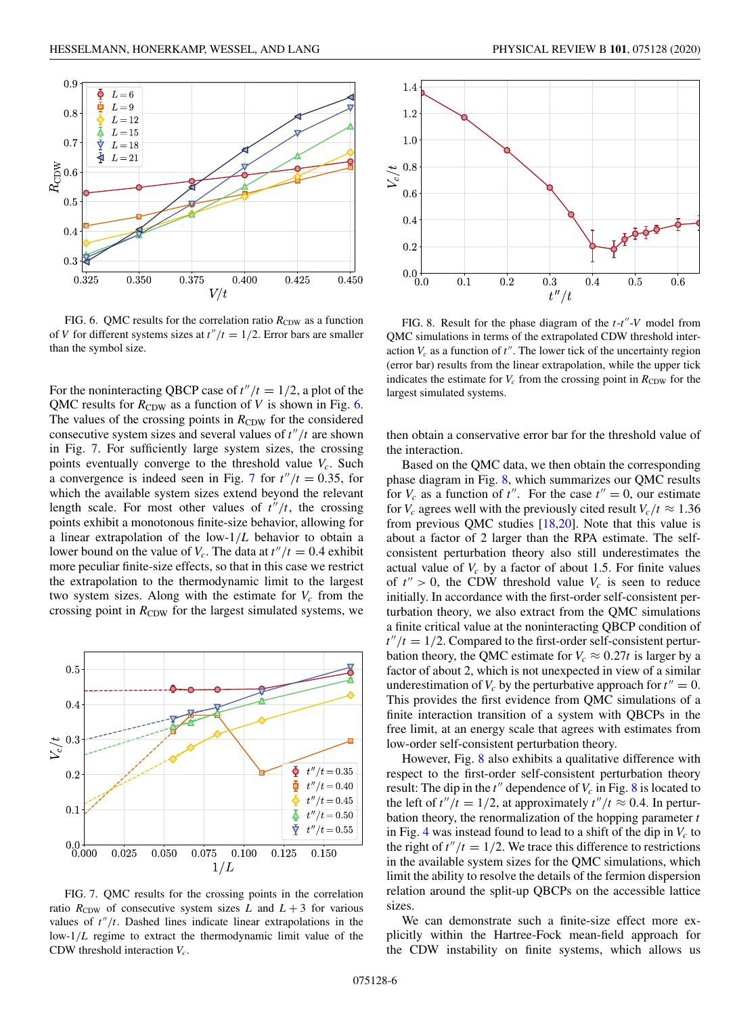<span id="page-5-0"></span>

FIG. 6. QMC results for the correlation ratio  $R_{CDW}$  as a function of *V* for different systems sizes at  $t''/t = 1/2$ . Error bars are smaller than the symbol size.

For the noninteracting QBCP case of  $t''/t = 1/2$ , a plot of the QMC results for  $R_{CDW}$  as a function of *V* is shown in Fig. 6. The values of the crossing points in  $R_{CDW}$  for the considered consecutive system sizes and several values of  $t''/t$  are shown in Fig. 7. For sufficiently large system sizes, the crossing points eventually converge to the threshold value *Vc*. Such a convergence is indeed seen in Fig. 7 for  $t''/t = 0.35$ , for which the available system sizes extend beyond the relevant length scale. For most other values of  $t''/t$ , the crossing points exhibit a monotonous finite-size behavior, allowing for a linear extrapolation of the low-1/*L* behavior to obtain a lower bound on the value of  $V_c$ . The data at  $t''/t = 0.4$  exhibit more peculiar finite-size effects, so that in this case we restrict the extrapolation to the thermodynamic limit to the largest two system sizes. Along with the estimate for  $V_c$  from the crossing point in  $R_{CDW}$  for the largest simulated systems, we



FIG. 7. QMC results for the crossing points in the correlation ratio  $R_{CDW}$  of consecutive system sizes *L* and  $L + 3$  for various values of  $t''/t$ . Dashed lines indicate linear extrapolations in the low-1/*L* regime to extract the thermodynamic limit value of the CDW threshold interaction  $V_c$ .



FIG. 8. Result for the phase diagram of the  $t$ - $t$ "-V model from QMC simulations in terms of the extrapolated CDW threshold interaction  $V_c$  as a function of  $t''$ . The lower tick of the uncertainty region (error bar) results from the linear extrapolation, while the upper tick indicates the estimate for  $V_c$  from the crossing point in  $R_{CDW}$  for the largest simulated systems.

then obtain a conservative error bar for the threshold value of the interaction.

Based on the QMC data, we then obtain the corresponding phase diagram in Fig. 8, which summarizes our QMC results for  $V_c$  as a function of  $t''$ . For the case  $t'' = 0$ , our estimate for *V<sub>c</sub>* agrees well with the previously cited result  $V_c/t \approx 1.36$ from previous QMC studies [\[18,20\]](#page-7-0). Note that this value is about a factor of 2 larger than the RPA estimate. The selfconsistent perturbation theory also still underestimates the actual value of  $V_c$  by a factor of about 1.5. For finite values of  $t'' > 0$ , the CDW threshold value  $V_c$  is seen to reduce initially. In accordance with the first-order self-consistent perturbation theory, we also extract from the QMC simulations a finite critical value at the noninteracting QBCP condition of  $t''/t = 1/2$ . Compared to the first-order self-consistent perturbation theory, the QMC estimate for  $V_c \approx 0.27t$  is larger by a factor of about 2, which is not unexpected in view of a similar underestimation of  $V_c$  by the perturbative approach for  $t'' = 0$ . This provides the first evidence from QMC simulations of a finite interaction transition of a system with QBCPs in the free limit, at an energy scale that agrees with estimates from low-order self-consistent perturbation theory.

However, Fig. 8 also exhibits a qualitative difference with respect to the first-order self-consistent perturbation theory result: The dip in the  $t''$  dependence of  $V_c$  in Fig. 8 is located to the left of  $t''/t = 1/2$ , at approximately  $t''/t \approx 0.4$ . In perturbation theory, the renormalization of the hopping parameter *t* in Fig. [4](#page-3-0) was instead found to lead to a shift of the dip in  $V_c$  to the right of  $t''/t = 1/2$ . We trace this difference to restrictions in the available system sizes for the QMC simulations, which limit the ability to resolve the details of the fermion dispersion relation around the split-up QBCPs on the accessible lattice sizes.

We can demonstrate such a finite-size effect more explicitly within the Hartree-Fock mean-field approach for the CDW instability on finite systems, which allows us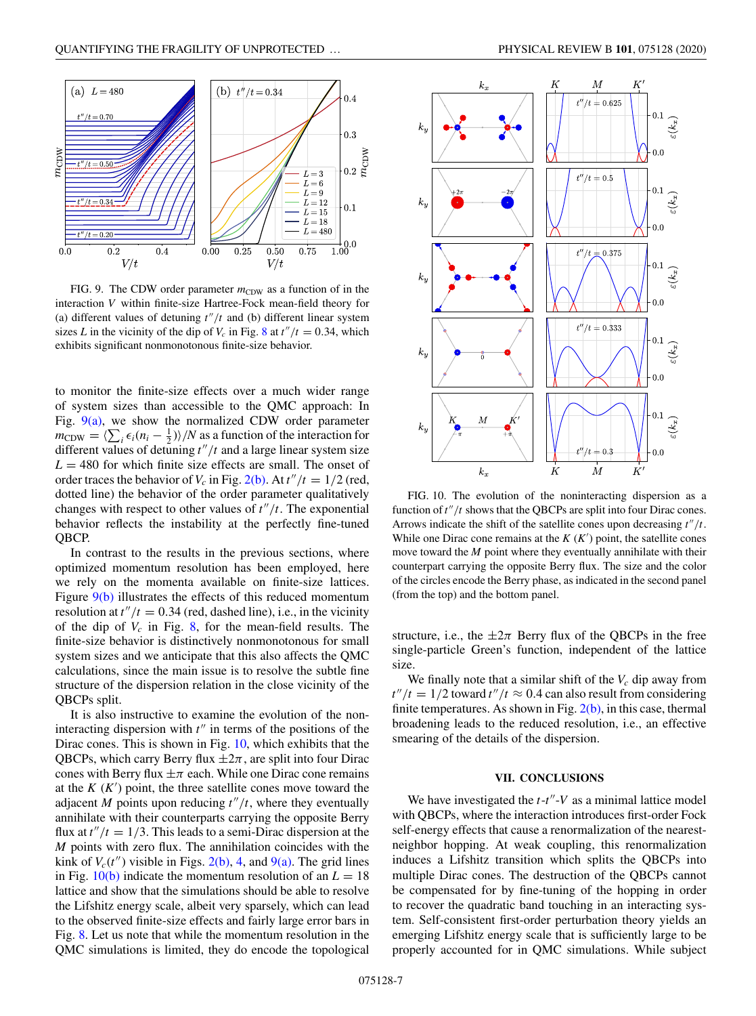

FIG. 9. The CDW order parameter  $m_{CDW}$  as a function of in the interaction *V* within finite-size Hartree-Fock mean-field theory for (a) different values of detuning  $t''/t$  and (b) different linear system sizes *L* in the vicinity of the dip of  $V_c$  in Fig. [8](#page-5-0) at  $t''/t = 0.34$ , which exhibits significant nonmonotonous finite-size behavior.

to monitor the finite-size effects over a much wider range of system sizes than accessible to the QMC approach: In Fig.  $9(a)$ , we show the normalized CDW order parameter  $m_{\text{CDW}} = \langle \sum_i \epsilon_i (n_i - \frac{1}{2}) \rangle / N$  as a function of the interaction for different values of detuning  $t''/t$  and a large linear system size  $L = 480$  for which finite size effects are small. The onset of order traces the behavior of  $V_c$  in Fig. [2\(b\).](#page-2-0) At  $t''/t = 1/2$  (red, dotted line) the behavior of the order parameter qualitatively changes with respect to other values of  $t''/t$ . The exponential behavior reflects the instability at the perfectly fine-tuned QBCP.

In contrast to the results in the previous sections, where optimized momentum resolution has been employed, here we rely on the momenta available on finite-size lattices. Figure  $9(b)$  illustrates the effects of this reduced momentum resolution at  $t''/t = 0.34$  (red, dashed line), i.e., in the vicinity of the dip of  $V_c$  in Fig. [8,](#page-5-0) for the mean-field results. The finite-size behavior is distinctively nonmonotonous for small system sizes and we anticipate that this also affects the QMC calculations, since the main issue is to resolve the subtle fine structure of the dispersion relation in the close vicinity of the QBCPs split.

It is also instructive to examine the evolution of the noninteracting dispersion with  $t''$  in terms of the positions of the Dirac cones. This is shown in Fig. 10, which exhibits that the QBCPs, which carry Berry flux  $\pm 2\pi$ , are split into four Dirac cones with Berry flux  $\pm \pi$  each. While one Dirac cone remains at the  $K(K')$  point, the three satellite cones move toward the adjacent *M* points upon reducing  $t''/t$ , where they eventually annihilate with their counterparts carrying the opposite Berry flux at  $t''/t = 1/3$ . This leads to a semi-Dirac dispersion at the *M* points with zero flux. The annihilation coincides with the kink of  $V_c(t'')$  visible in Figs. [2\(b\),](#page-2-0) [4,](#page-3-0) and  $9(a)$ . The grid lines in Fig.  $10(b)$  indicate the momentum resolution of an  $L = 18$ lattice and show that the simulations should be able to resolve the Lifshitz energy scale, albeit very sparsely, which can lead to the observed finite-size effects and fairly large error bars in Fig. [8.](#page-5-0) Let us note that while the momentum resolution in the QMC simulations is limited, they do encode the topological



FIG. 10. The evolution of the noninteracting dispersion as a function of  $t''/t$  shows that the QBCPs are split into four Dirac cones. Arrows indicate the shift of the satellite cones upon decreasing  $t''/t$ . While one Dirac cone remains at the  $K(K')$  point, the satellite cones move toward the *M* point where they eventually annihilate with their counterpart carrying the opposite Berry flux. The size and the color of the circles encode the Berry phase, as indicated in the second panel (from the top) and the bottom panel.

structure, i.e., the  $\pm 2\pi$  Berry flux of the QBCPs in the free single-particle Green's function, independent of the lattice size.

We finally note that a similar shift of the  $V_c$  dip away from  $t''/t = 1/2$  toward  $t''/t \approx 0.4$  can also result from considering finite temperatures. As shown in Fig.  $2(b)$ , in this case, thermal broadening leads to the reduced resolution, i.e., an effective smearing of the details of the dispersion.

### **VII. CONCLUSIONS**

We have investigated the  $t$ - $t$ "- $V$  as a minimal lattice model with QBCPs, where the interaction introduces first-order Fock self-energy effects that cause a renormalization of the nearestneighbor hopping. At weak coupling, this renormalization induces a Lifshitz transition which splits the QBCPs into multiple Dirac cones. The destruction of the QBCPs cannot be compensated for by fine-tuning of the hopping in order to recover the quadratic band touching in an interacting system. Self-consistent first-order perturbation theory yields an emerging Lifshitz energy scale that is sufficiently large to be properly accounted for in QMC simulations. While subject